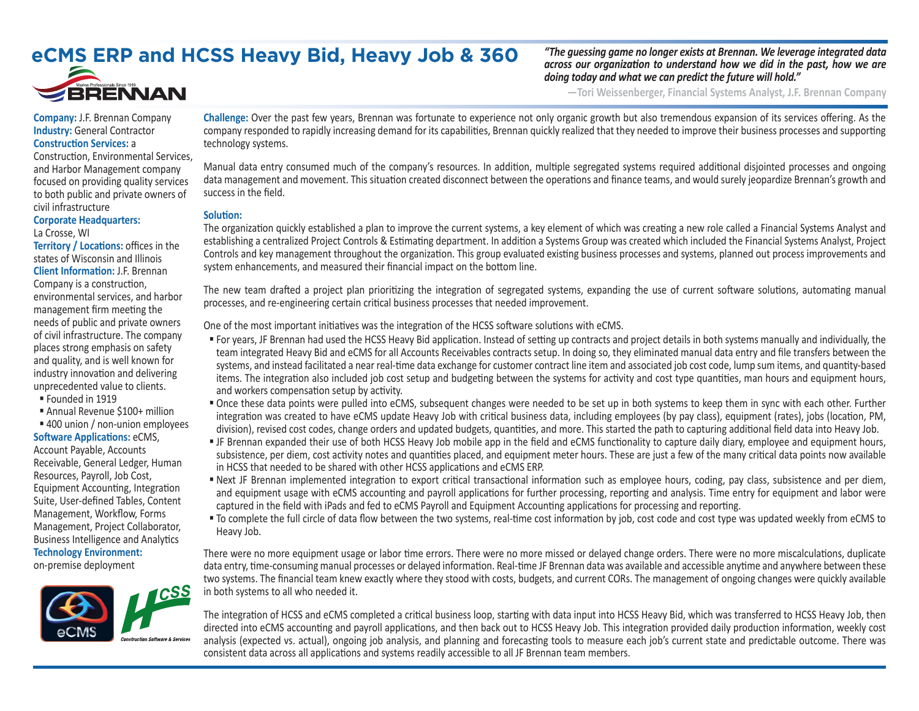## **eCMS ERP and HCSS Heavy Bid, Heavy Job & 360**



*"The guessing game no longer exists at Brennan. We leverage integrated data across our organization to understand how we did in the past, how we are doing today and what we can predict the future will hold."*

**—Tori Weissenberger, Financial Systems Analyst, J.F. Brennan Company**

**Company:** J.F. Brennan Company **Industry:** General Contractor **Construction Services:** a

#### Construction, Environmental Services, and Harbor Management company focused on providing quality services to both public and private owners of civil infrastructure

### **Corporate Headquarters:**  La Crosse, WI

**Territory / Locations:** offices in the states of Wisconsin and Illinois **Client Information:** J.F. Brennan Company is a construction, environmental services, and harbor management firm meeting the needs of public and private owners of civil infrastructure. The company places strong emphasis on safety and quality, and is well known for industry innovation and delivering unprecedented value to clients.

- Founded in 1919
- Annual Revenue \$100+ million
- 400 union / non-union employees

#### **Software Applications:** eCMS,

Account Payable, Accounts Receivable, General Ledger, Human Resources, Payroll, Job Cost, Equipment Accounting, Integration Suite, User-defined Tables, Content Management, Workflow, Forms Management, Project Collaborator, Business Intelligence and Analytics **Technology Environment:**

on-premise deployment



**Challenge:** Over the past few years, Brennan was fortunate to experience not only organic growth but also tremendous expansion of its services offering. As the company responded to rapidly increasing demand for its capabilities, Brennan quickly realized that they needed to improve their business processes and supporting technology systems.

Manual data entry consumed much of the company's resources. In addition, multiple segregated systems required additional disjointed processes and ongoing data management and movement. This situation created disconnect between the operations and finance teams, and would surely jeopardize Brennan's growth and success in the field.

### **Solution:**

The organization quickly established a plan to improve the current systems, a key element of which was creating a new role called a Financial Systems Analyst and establishing a centralized Project Controls & Estimating department. In addition a Systems Group was created which included the Financial Systems Analyst, Project Controls and key management throughout the organization. This group evaluated existing business processes and systems, planned out process improvements and system enhancements, and measured their financial impact on the bottom line.

The new team drafted a project plan prioritizing the integration of segregated systems, expanding the use of current software solutions, automating manual processes, and re-engineering certain critical business processes that needed improvement.

One of the most important initiatives was the integration of the HCSS software solutions with eCMS.

- For years, JF Brennan had used the HCSS Heavy Bid application. Instead of setting up contracts and project details in both systems manually and individually, the team integrated Heavy Bid and eCMS for all Accounts Receivables contracts setup. In doing so, they eliminated manual data entry and file transfers between the systems, and instead facilitated a near real-time data exchange for customer contract line item and associated job cost code, lump sum items, and quantity-based items. The integration also included job cost setup and budgeting between the systems for activity and cost type quantities, man hours and equipment hours, and workers compensation setup by activity.
- Once these data points were pulled into eCMS, subsequent changes were needed to be set up in both systems to keep them in sync with each other. Further integration was created to have eCMS update Heavy Job with critical business data, including employees (by pay class), equipment (rates), jobs (location, PM, division), revised cost codes, change orders and updated budgets, quantities, and more. This started the path to capturing additional field data into Heavy Job.
- JF Brennan expanded their use of both HCSS Heavy Job mobile app in the field and eCMS functionality to capture daily diary, employee and equipment hours, subsistence, per diem, cost activity notes and quantities placed, and equipment meter hours. These are just a few of the many critical data points now available in HCSS that needed to be shared with other HCSS applications and eCMS ERP.
- Next JF Brennan implemented integration to export critical transactional information such as employee hours, coding, pay class, subsistence and per diem, and equipment usage with eCMS accounting and payroll applications for further processing, reporting and analysis. Time entry for equipment and labor were captured in the field with iPads and fed to eCMS Payroll and Equipment Accounting applications for processing and reporting.
- " To complete the full circle of data flow between the two systems, real-time cost information by job, cost code and cost type was updated weekly from eCMS to Heavy Job.

There were no more equipment usage or labor time errors. There were no more missed or delayed change orders. There were no more miscalculations, duplicate data entry, time-consuming manual processes or delayed information. Real-time JF Brennan data was available and accessible anytime and anywhere between these two systems. The financial team knew exactly where they stood with costs, budgets, and current CORs. The management of ongoing changes were quickly available in both systems to all who needed it.

The integration of HCSS and eCMS completed a critical business loop, starting with data input into HCSS Heavy Bid, which was transferred to HCSS Heavy Job, then directed into eCMS accounting and payroll applications, and then back out to HCSS Heavy Job. This integration provided daily production information, weekly cost analysis (expected vs. actual), ongoing job analysis, and planning and forecasting tools to measure each job's current state and predictable outcome. There was consistent data across all applications and systems readily accessible to all JF Brennan team members.